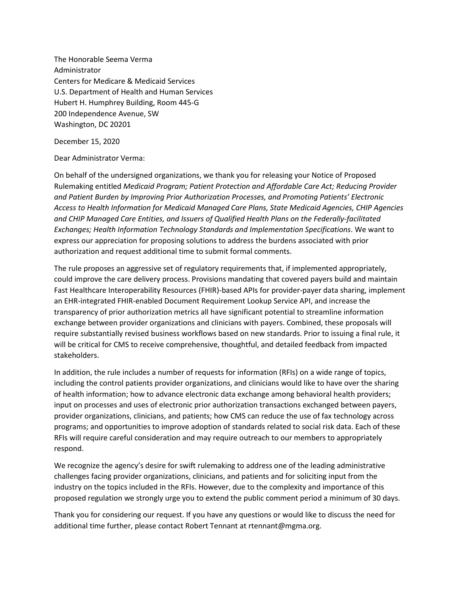The Honorable Seema Verma Administrator Centers for Medicare & Medicaid Services U.S. Department of Health and Human Services Hubert H. Humphrey Building, Room 445-G 200 Independence Avenue, SW Washington, DC 20201

December 15, 2020

Dear Administrator Verma:

On behalf of the undersigned organizations, we thank you for releasing your Notice of Proposed Rulemaking entitled *Medicaid Program; Patient Protection and Affordable Care Act; Reducing Provider and Patient Burden by Improving Prior Authorization Processes, and Promoting Patients' Electronic Access to Health Information for Medicaid Managed Care Plans, State Medicaid Agencies, CHIP Agencies and CHIP Managed Care Entities, and Issuers of Qualified Health Plans on the Federally-facilitated Exchanges; Health Information Technology Standards and Implementation Specifications*. We want to express our appreciation for proposing solutions to address the burdens associated with prior authorization and request additional time to submit formal comments.

The rule proposes an aggressive set of regulatory requirements that, if implemented appropriately, could improve the care delivery process. Provisions mandating that covered payers build and maintain Fast Healthcare Interoperability Resources (FHIR)-based APIs for provider-payer data sharing, implement an EHR-integrated FHIR-enabled Document Requirement Lookup Service API, and increase the transparency of prior authorization metrics all have significant potential to streamline information exchange between provider organizations and clinicians with payers. Combined, these proposals will require substantially revised business workflows based on new standards. Prior to issuing a final rule, it will be critical for CMS to receive comprehensive, thoughtful, and detailed feedback from impacted stakeholders.

In addition, the rule includes a number of requests for information (RFIs) on a wide range of topics, including the control patients provider organizations, and clinicians would like to have over the sharing of health information; how to advance electronic data exchange among behavioral health providers; input on processes and uses of electronic prior authorization transactions exchanged between payers, provider organizations, clinicians, and patients; how CMS can reduce the use of fax technology across programs; and opportunities to improve adoption of standards related to social risk data. Each of these RFIs will require careful consideration and may require outreach to our members to appropriately respond.

We recognize the agency's desire for swift rulemaking to address one of the leading administrative challenges facing provider organizations, clinicians, and patients and for soliciting input from the industry on the topics included in the RFIs. However, due to the complexity and importance of this proposed regulation we strongly urge you to extend the public comment period a minimum of 30 days.

Thank you for considering our request. If you have any questions or would like to discuss the need for additional time further, please contact Robert Tennant at rtennant@mgma.org.